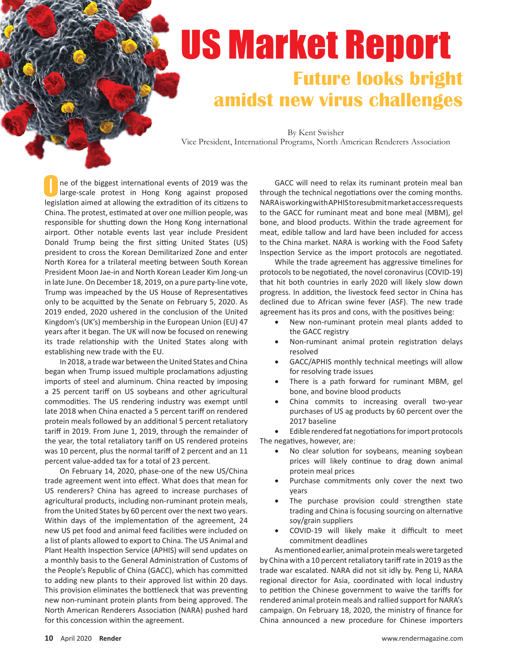# US Market Report **Future looks bright amidst new virus challenges**

By Kent Swisher Vice President, International Programs, North American Renderers Association

ne of the biggest international events of 2019 was the large-scale protest in Hong Kong against proposed legislation aimed at allowing the extradition of its citizens to China. The protest, estimated at over one million people, was responsible for shutting down the Hong Kong international airport. Other notable events last year include President Donald Trump being the first sitting United States (US) president to cross the Korean Demilitarized Zone and enter North Korea for a trilateral meeting between South Korean President Moon Jae-in and North Korean Leader Kim Jong-un in late June. On December 18, 2019, on a pure party-line vote, Trump was impeached by the US House of Representatives only to be acquitted by the Senate on February 5, 2020. As 2019 ended, 2020 ushered in the conclusion of the United Kingdom's (UK's) membership in the European Union (EU) 47 years after it began. The UK will now be focused on renewing its trade relationship with the United States along with establishing new trade with the EU. O

In 2018, a trade war between the United States and China began when Trump issued multiple proclamations adjusting imports of steel and aluminum. China reacted by imposing a 25 percent tariff on US soybeans and other agricultural commodities. The US rendering industry was exempt until late 2018 when China enacted a 5 percent tariff on rendered protein meals followed by an additional 5 percent retaliatory tariff in 2019. From June 1, 2019, through the remainder of the year, the total retaliatory tariff on US rendered proteins was 10 percent, plus the normal tariff of 2 percent and an 11 percent value-added tax for a total of 23 percent.

On February 14, 2020, phase-one of the new US/China trade agreement went into effect. What does that mean for US renderers? China has agreed to increase purchases of agricultural products, including non-ruminant protein meals, from the United States by 60 percent over the next two years. Within days of the implementation of the agreement, 24 new US pet food and animal feed facilities were included on a list of plants allowed to export to China. The US Animal and Plant Health Inspection Service (APHIS) will send updates on a monthly basis to the General Administration of Customs of the People's Republic of China (GACC), which has committed to adding new plants to their approved list within 20 days. This provision eliminates the bottleneck that was preventing new non-ruminant protein plants from being approved. The North American Renderers Association (NARA) pushed hard for this concession within the agreement.

 GACC will need to relax its ruminant protein meal ban through the technical negotiations over the coming months. NARA is working with APHIS to resubmit market access requests to the GACC for ruminant meat and bone meal (MBM), gel bone, and blood products. Within the trade agreement for meat, edible tallow and lard have been included for access to the China market. NARA is working with the Food Safety Inspection Service as the import protocols are negotiated.

While the trade agreement has aggressive timelines for protocols to be negotiated, the novel coronavirus (COVID-19) that hit both countries in early 2020 will likely slow down progress. In addition, the livestock feed sector in China has declined due to African swine fever (ASF). The new trade agreement has its pros and cons, with the positives being:

- New non-ruminant protein meal plants added to the GACC registry
- Non-ruminant animal protein registration delays resolved
- GACC/APHIS monthly technical meetings will allow for resolving trade issues
- There is a path forward for ruminant MBM, gel bone, and bovine blood products
- China commits to increasing overall two-year purchases of US ag products by 60 percent over the 2017 baseline

Edible rendered fat negotiations for import protocols The negatives, however, are:

- No clear solution for soybeans, meaning soybean prices will likely continue to drag down animal protein meal prices
- Purchase commitments only cover the next two years
- The purchase provision could strengthen state trading and China is focusing sourcing on alternative soy/grain suppliers
- COVID-19 will likely make it difficult to meet commitment deadlines

As mentioned earlier, animal protein meals were targeted by China with a 10 percent retaliatory tariff rate in 2019 as the trade war escalated. NARA did not sit idly by. Peng Li, NARA regional director for Asia, coordinated with local industry to petition the Chinese government to waive the tariffs for rendered animal protein meals and rallied support for NARA's campaign. On February 18, 2020, the ministry of finance for China announced a new procedure for Chinese importers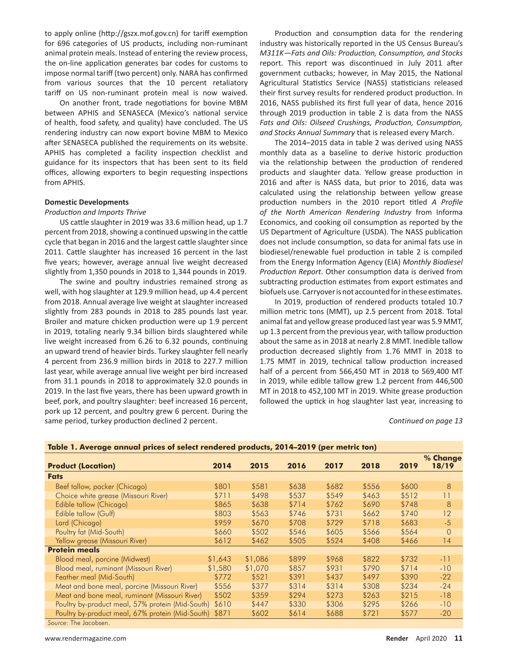to apply online (http://gszx.mof.gov.cn) for tariff exemption for 696 categories of US products, including non-ruminant animal protein meals. Instead of entering the review process, the on-line application generates bar codes for customs to impose normal tariff (two percent) only. NARA has confirmed from various sources that the 10 percent retaliatory tariff on US non-ruminant protein meal is now waived.

On another front, trade negotiations for bovine MBM between APHIS and SENASECA (Mexico's national service of health, food safety, and quality) have concluded. The US rendering industry can now export bovine MBM to Mexico after SENASECA published the requirements on its website. APHIS has completed a facility inspection checklist and guidance for its inspectors that has been sent to its field offices, allowing exporters to begin requesting inspections from APHIS.

# **Domestic Developments**

### **Production and Imports Thrive**

US cattle slaughter in 2019 was 33.6 million head, up 1.7 percent from 2018, showing a continued upswing in the cattle cycle that began in 2016 and the largest cattle slaughter since 2011. Cattle slaughter has increased 16 percent in the last five years; however, average annual live weight decreased slightly from 1,350 pounds in 2018 to 1,344 pounds in 2019.

The swine and poultry industries remained strong as well, with hog slaughter at 129.9 million head, up 4.4 percent from 2018. Annual average live weight at slaughter increased slightly from 283 pounds in 2018 to 285 pounds last year. Broiler and mature chicken production were up 1.9 percent in 2019, totaling nearly 9.34 billion birds slaughtered while live weight increased from 6.26 to 6.32 pounds, continuing an upward trend of heavier birds. Turkey slaughter fell nearly 4 percent from 236.9 million birds in 2018 to 227.7 million last year, while average annual live weight per bird increased from 31.1 pounds in 2018 to approximately 32.0 pounds in 2019. In the last five years, there has been upward growth in beef, pork, and poultry slaughter: beef increased 16 percent, pork up 12 percent, and poultry grew 6 percent. During the same period, turkey production declined 2 percent.

Production and consumption data for the rendering industry was historically reported in the US Census Bureau's *M311K-Fats and Oils: Production, Consumption, and Stocks* report. This report was discontinued in July 2011 after government cutbacks; however, in May 2015, the National Agricultural Statistics Service (NASS) statisticians released their first survey results for rendered product production. In 2016, NASS published its first full year of data, hence 2016 through 2019 production in table 2 is data from the NASS Fats and Oils: Oilseed Crushings, Production, Consumption, and Stocks Annual Summary that is released every March.

 The 2014–2015 data in table 2 was derived using NASS monthly data as a baseline to derive historic production via the relationship between the production of rendered products and slaughter data. Yellow grease production in 2016 and after is NASS data, but prior to 2016, data was calculated using the relationship between yellow grease production numbers in the 2010 report titled A Profile of the North American Rendering Industry from Informa Economics, and cooking oil consumption as reported by the US Department of Agriculture (USDA). The NASS publication does not include consumption, so data for animal fats use in biodiesel/renewable fuel production in table 2 is compiled from the Energy Information Agency (EIA) Monthly Biodiesel Production Report. Other consumption data is derived from subtracting production estimates from export estimates and biofuels use. Carryover is not accounted for in these estimates.

In 2019, production of rendered products totaled 10.7 million metric tons (MMT), up 2.5 percent from 2018. Total animal fat and yellow grease produced last year was 5.9 MMT, up 1.3 percent from the previous year, with tallow production about the same as in 2018 at nearly 2.8 MMT. Inedible tallow production decreased slightly from 1.76 MMT in 2018 to 1.75 MMT in 2019, technical tallow production increased half of a percent from 566,450 MT in 2018 to 569,400 MT in 2019, while edible tallow grew 1.2 percent from 446,500 MT in 2018 to 452,100 MT in 2019. White grease production followed the uptick in hog slaughter last year, increasing to

### *Continued on page 13*

| Table 1. Average annual prices of select rendered products, 2014-2019 (per metric ton) |         |         |       |       |       |       |                   |
|----------------------------------------------------------------------------------------|---------|---------|-------|-------|-------|-------|-------------------|
| <b>Product (Location)</b>                                                              | 2014    | 2015    | 2016  | 2017  | 2018  | 2019  | % Change<br>18/19 |
| <b>Fats</b>                                                                            |         |         |       |       |       |       |                   |
| Beef tallow, packer (Chicago)                                                          | \$801   | \$581   | \$638 | \$682 | \$556 | \$600 | 8                 |
| Choice white grease (Missouri River)                                                   | \$711   | \$498   | \$537 | \$549 | \$463 | \$512 | 11                |
| Edible tallow (Chicago)                                                                | \$865   | \$638   | \$714 | \$762 | \$690 | \$748 | 8                 |
| Edible tallow (Gulf)                                                                   | \$803   | \$563   | \$746 | \$731 | \$662 | \$740 | 12                |
| Lard (Chicago)                                                                         | \$959   | \$670   | \$708 | \$729 | \$718 | \$683 | $-5$              |
| Poultry fat (Mid-South)                                                                | \$660   | \$502   | \$546 | \$605 | \$566 | \$564 | $\circ$           |
| Yellow grease (Missouri River)                                                         | \$612   | \$462   | \$505 | \$524 | \$408 | \$466 | 14                |
| <b>Protein meals</b>                                                                   |         |         |       |       |       |       |                   |
| Blood meal, porcine (Midwest)                                                          | \$1,643 | \$1,086 | \$899 | \$968 | \$822 | \$732 | -11               |
| Blood meal, ruminant (Missouri River)                                                  | \$1,580 | \$1,070 | \$857 | \$931 | \$790 | \$714 | $-10$             |
| Feather meal (Mid-South)                                                               | \$772   | \$521   | \$391 | \$437 | \$497 | \$390 | $-22$             |
| Meat and bone meal, porcine (Missouri River)                                           | \$556   | \$377   | \$314 | \$314 | \$308 | \$234 | $-24$             |
| Meat and bone meal, ruminant (Missouri River)                                          | \$502   | \$359   | \$294 | \$273 | \$263 | \$215 | $-18$             |
| Poultry by-product meal, 57% protein (Mid-South)                                       | \$610   | \$447   | \$330 | \$306 | \$295 | \$266 | $-10$             |
| Poultry by-product meal, 67% protein (Mid-South)                                       | \$871   | \$602   | \$614 | \$688 | \$721 | \$577 | $-20$             |
| Source: The Jacobsen.                                                                  |         |         |       |       |       |       |                   |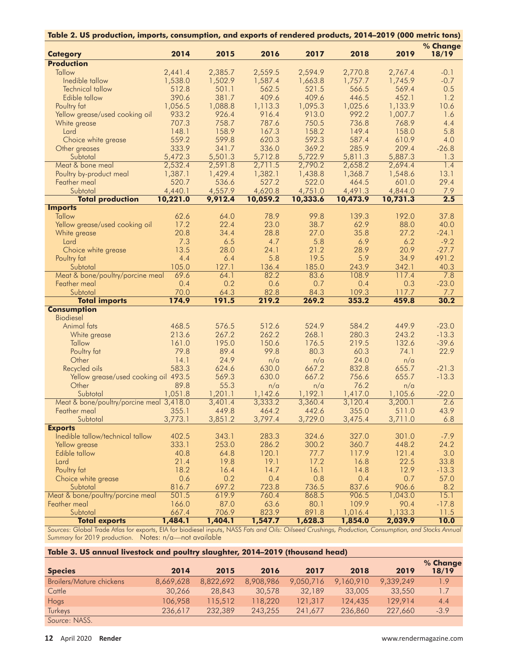| Table 2. US production, imports, consumption, and exports of rendered products, 2014-2019 (000 metric tons) |          |         |          |          |          |          |          |
|-------------------------------------------------------------------------------------------------------------|----------|---------|----------|----------|----------|----------|----------|
|                                                                                                             |          |         |          |          |          |          | % Change |
| <b>Category</b>                                                                                             | 2014     | 2015    | 2016     | 2017     | 2018     | 2019     | 18/19    |
| <b>Production</b>                                                                                           |          |         |          |          |          |          |          |
| Tallow                                                                                                      | 2,441.4  | 2,385.7 | 2,559.5  | 2,594.9  | 2,770.8  | 2,767.4  | $-0.1$   |
| Inedible tallow                                                                                             | 1,538.0  | 1,502.9 | 1,587.4  | 1,663.8  | 1,757.7  | 1,745.9  | $-0.7$   |
| <b>Technical tallow</b>                                                                                     | 512.8    | 501.1   | 562.5    | 521.5    | 566.5    | 569.4    | 0.5      |
| Edible tallow                                                                                               | 390.6    | 381.7   | 409.6    | 409.6    | 446.5    | 452.1    | 1.2      |
| Poultry fat                                                                                                 | 1,056.5  | 1,088.8 | 1,113.3  | 1,095.3  | 1,025.6  | 1,133.9  | 10.6     |
| Yellow grease/used cooking oil                                                                              | 933.2    | 926.4   | 916.4    | 913.0    | 992.2    | 1,007.7  | 1.6      |
| White grease                                                                                                | 707.3    | 758.7   | 787.6    | 750.5    | 736.8    | 768.9    | 4.4      |
| Lard                                                                                                        | 148.1    | 158.9   | 167.3    | 158.2    | 149.4    | 158.0    | 5.8      |
| Choice white grease                                                                                         | 559.2    | 599.8   | 620.3    | 592.3    | 587.4    | 610.9    | 4.0      |
| Other greases                                                                                               | 333.9    | 341.7   | 336.0    | 369.2    | 285.9    | 209.4    | $-26.8$  |
| Subtotal                                                                                                    | 5,472.3  | 5,501.3 | 5,712.8  | 5,722.9  | 5,811.3  | 5,887.3  | 1.3      |
| Meat & bone meal                                                                                            | 2,532.4  | 2,591.8 | 2,711.5  | 2,790.2  | 2,658.2  | 2,694.4  | 1.4      |
| Poultry by-product meal                                                                                     | 1,387.1  | 1,429.4 | 1,382.1  | 1,438.8  | 1,368.7  | 1,548.6  | 13.1     |
| Feather meal                                                                                                | 520.7    | 536.6   | 527.2    | 522.0    | 464.5    | 601.0    | 29.4     |
| Subtotal                                                                                                    | 4,440.1  | 4,557.9 | 4,620.8  | 4,751.0  | 4,491.3  | 4,844.0  | 7.9      |
| <b>Total production</b>                                                                                     | 10,221.0 | 9,912.4 | 10,059.2 | 10,333.6 | 10,473.9 | 10,731.3 | 2.5      |
| <b>Imports</b>                                                                                              |          |         |          |          |          |          |          |
| <b>Tallow</b>                                                                                               | 62.6     | 64.0    | 78.9     | 99.8     | 139.3    | 192.0    | 37.8     |
| Yellow grease/used cooking oil                                                                              | 17.2     | 22.4    | 23.0     | 38.7     | 62.9     | 88.0     | 40.0     |
| White grease                                                                                                | 20.8     | 34.4    | 28.8     | 27.0     | 35.8     | 27.2     | $-24.1$  |
| Lard                                                                                                        | 7.3      | 6.5     | 4.7      | 5.8      | 6.9      | 6.2      | $-9.2$   |
| Choice white grease                                                                                         | 13.5     | 28.0    | 24.1     | 21.2     | 28.9     | 20.9     | $-27.7$  |
| Poultry fat                                                                                                 | 4.4      | 6.4     | 5.8      | 19.5     | 5.9      | 34.9     | 491.2    |
| Subtotal                                                                                                    | 105.0    | 127.1   | 136.4    | 185.0    | 243.9    | 342.1    | 40.3     |
| Meat & bone/poultry/porcine meal                                                                            | 69.6     | 64.1    | 82.2     | 83.6     | 108.9    | 117.4    | 7.8      |
| Feather meal                                                                                                | 0.4      | 0.2     | 0.6      | 0.7      | 0.4      | 0.3      | $-23.0$  |
| Subtotal                                                                                                    | 70.0     | 64.3    | 82.8     | 84.3     | 109.3    | 117.7    | 7.7      |
| <b>Total imports</b>                                                                                        | 174.9    | 191.5   | 219.2    | 269.2    | 353.2    | 459.8    | 30.2     |
| <b>Consumption</b>                                                                                          |          |         |          |          |          |          |          |
| <b>Biodiesel</b>                                                                                            |          |         |          |          |          |          |          |
| Animal fats                                                                                                 | 468.5    | 576.5   | 512.6    | 524.9    | 584.2    | 449.9    | $-23.0$  |
| White grease                                                                                                | 213.6    | 267.2   | 262.2    | 268.1    | 280.3    | 243.2    | $-13.3$  |
| Tallow                                                                                                      | 161.0    | 195.0   | 150.6    | 176.5    | 219.5    | 132.6    | $-39.6$  |
| Poultry fat                                                                                                 | 79.8     | 89.4    | 99.8     | 80.3     | 60.3     | 74.1     | 22.9     |
| Other                                                                                                       | 14.1     | 24.9    | n/a      | n/a      | 24.0     | n/a      |          |
| Recycled oils                                                                                               | 583.3    | 624.6   | 630.0    | 667.2    | 832.8    | 655.7    | $-21.3$  |
| Yellow grease/used cooking oil 493.5                                                                        |          | 569.3   | 630.0    | 667.2    | 756.6    | 655.7    | $-13.3$  |
| Other                                                                                                       | 89.8     | 55.3    | n/a      | n/a      | 76.2     | n/a      |          |
| Subtotal                                                                                                    | 1,051.8  | 1,201.1 | 1,142.6  | 1,192.1  | 1,417.0  | 1,105.6  | $-22.0$  |
| Meat & bone/poultry/porcine meal 3,418.0                                                                    |          | 3,401.4 | 3,333.2  | 3,360.4  | 3,120.4  | 3,200.1  | 2.6      |
| Feather meal                                                                                                | 355.1    | 449.8   | 464.2    | 442.6    | 355.0    | 511.0    | 43.9     |
| Subtotal                                                                                                    | 3,773.1  | 3,851.2 | 3,797.4  | 3,729.0  | 3,475.4  | 3,711.0  | 6.8      |
| <b>Exports</b>                                                                                              |          |         |          |          |          |          |          |
| Inedible tallow/technical tallow                                                                            | 402.5    | 343.1   | 283.3    | 324.6    | 327.0    | 301.0    | $-7.9$   |
| Yellow grease                                                                                               | 333.1    | 253.0   | 286.2    | 300.2    | 360.7    | 448.2    | 24.2     |
| Edible tallow                                                                                               | 40.8     | 64.8    | 120.1    | 77.7     | 117.9    | 121.4    | 3.0      |
| Lard                                                                                                        | 21.4     | 19.8    | 19.1     | 17.2     | 16.8     | 22.5     | 33.8     |
| Poultry fat                                                                                                 | 18.2     | 16.4    | 14.7     | 16.1     | 14.8     | 12.9     | $-13.3$  |
| Choice white grease                                                                                         | 0.6      | 0.2     | 0.4      | 0.8      | 0.4      | 0.7      | 57.0     |
| Subtotal                                                                                                    | 816.7    | 697.2   | 723.8    | 736.5    | 837.6    | 906.6    | 8.2      |
| Meat & bone/poultry/porcine meal                                                                            | 501.5    | 619.9   | 760.4    | 868.5    | 906.5    | 1,043.0  | 15.1     |
| Feather meal                                                                                                | 166.0    | 87.0    | 63.6     | 80.1     | 109.9    | 90.4     | $-17.8$  |
| Subtotal                                                                                                    | 667.4    | 706.9   | 823.9    | 891.8    | 1,016.4  | 1,133.3  | 11.5     |
| <b>Total exports</b>                                                                                        | 1,484.1  | 1,404.1 | 1,547.7  | 1,628.3  | 1,854.0  | 2,039.9  | 10.0     |

*Sources*: Global Trade Atlas for exports, EIA for biodiesel inputs, NASS *Fats and Oils: Oilseed Crushings, Production, Consumption, and Stocks Annual Summary* for 2019 production. Notes: n/a—not available

| Table 3. US annual livestock and poultry slaughter, 2014–2019 (thousand head) |           |           |           |           |           |           |                   |
|-------------------------------------------------------------------------------|-----------|-----------|-----------|-----------|-----------|-----------|-------------------|
| <b>Species</b>                                                                | 2014      | 2015      | 2016      | 2017      | 2018      | 2019      | % Change<br>18/19 |
| Broilers/Mature chickens                                                      | 8,669,628 | 8,822,692 | 8,908,986 | 9,050,716 | 9,160,910 | 9.339.249 | 1.9               |
| Cattle                                                                        | 30,266    | 28,843    | 30,578    | 32,189    | 33,005    | 33,550    | 1.7               |
| Hogs                                                                          | 106,958   | 115,512   | 118,220   | 121,317   | 124,435   | 129,914   | 4.4               |
| Turkeys                                                                       | 236,617   | 232,389   | 243,255   | 241,677   | 236,860   | 227,660   | $-3.9$            |
| Source: NASS.                                                                 |           |           |           |           |           |           |                   |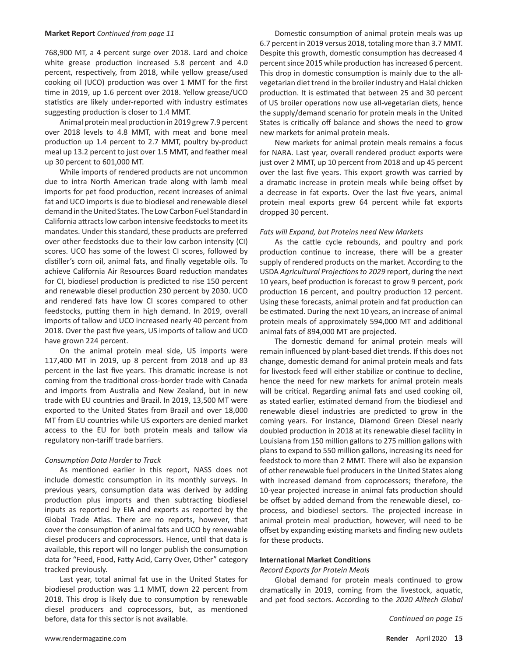#### Market Report Continued from page 11

768,900 MT, a 4 percent surge over 2018. Lard and choice white grease production increased 5.8 percent and 4.0 percent, respectively, from 2018, while yellow grease/used cooking oil (UCO) production was over 1 MMT for the first time in 2019, up 1.6 percent over 2018. Yellow grease/UCO statistics are likely under-reported with industry estimates suggesting production is closer to 1.4 MMT.

Animal protein meal production in 2019 grew 7.9 percent over 2018 levels to 4.8 MMT, with meat and bone meal production up 1.4 percent to 2.7 MMT, poultry by-product meal up 13.2 percent to just over 1.5 MMT, and feather meal up 30 percent to 601,000 MT.

While imports of rendered products are not uncommon due to intra North American trade along with lamb meal imports for pet food production, recent increases of animal fat and UCO imports is due to biodiesel and renewable diesel demand in the United States. The Low Carbon Fuel Standard in California attracts low carbon intensive feedstocks to meet its mandates. Under this standard, these products are preferred over other feedstocks due to their low carbon intensity (CI) scores. UCO has some of the lowest CI scores, followed by distiller's corn oil, animal fats, and finally vegetable oils. To achieve California Air Resources Board reduction mandates for CI, biodiesel production is predicted to rise 150 percent and renewable diesel production 230 percent by 2030. UCO and rendered fats have low CI scores compared to other feedstocks, putting them in high demand. In 2019, overall imports of tallow and UCO increased nearly 40 percent from 2018. Over the past five years, US imports of tallow and UCO have grown 224 percent.

On the animal protein meal side, US imports were 117,400 MT in 2019, up 8 percent from 2018 and up 83 percent in the last five years. This dramatic increase is not coming from the traditional cross-border trade with Canada and imports from Australia and New Zealand, but in new trade with EU countries and Brazil. In 2019, 13,500 MT were exported to the United States from Brazil and over 18,000 MT from EU countries while US exporters are denied market access to the EU for both protein meals and tallow via regulatory non-tariff trade barriers.

### Consumption Data Harder to Track

As mentioned earlier in this report, NASS does not include domestic consumption in its monthly surveys. In previous years, consumption data was derived by adding production plus imports and then subtracting biodiesel inputs as reported by EIA and exports as reported by the Global Trade Atlas. There are no reports, however, that cover the consumption of animal fats and UCO by renewable diesel producers and coprocessors. Hence, until that data is available, this report will no longer publish the consumption data for "Feed, Food, Fatty Acid, Carry Over, Other" category tracked previously.

Last year, total animal fat use in the United States for biodiesel production was 1.1 MMT, down 22 percent from 2018. This drop is likely due to consumption by renewable diesel producers and coprocessors, but, as mentioned before, data for this sector is not available.

Domestic consumption of animal protein meals was up 6.7 percent in 2019 versus 2018, totaling more than 3.7 MMT. Despite this growth, domestic consumption has decreased 4 percent since 2015 while production has increased 6 percent. This drop in domestic consumption is mainly due to the allvegetarian diet trend in the broiler industry and Halal chicken production. It is estimated that between 25 and 30 percent of US broiler operations now use all-vegetarian diets, hence the supply/demand scenario for protein meals in the United States is critically off balance and shows the need to grow new markets for animal protein meals.

New markets for animal protein meals remains a focus for NARA. Last year, overall rendered product exports were just over 2 MMT, up 10 percent from 2018 and up 45 percent over the last five years. This export growth was carried by a dramatic increase in protein meals while being offset by a decrease in fat exports. Over the last five years, animal protein meal exports grew 64 percent while fat exports dropped 30 percent.

## Fats will Expand, but Proteins need New Markets

As the cattle cycle rebounds, and poultry and pork production continue to increase, there will be a greater supply of rendered products on the market. According to the USDA Agricultural Projections to 2029 report, during the next 10 years, beef production is forecast to grow 9 percent, pork production 16 percent, and poultry production 12 percent. Using these forecasts, animal protein and fat production can be estimated. During the next 10 years, an increase of animal protein meals of approximately 594,000 MT and additional animal fats of 894,000 MT are projected.

The domestic demand for animal protein meals will remain influenced by plant-based diet trends. If this does not change, domestic demand for animal protein meals and fats for livestock feed will either stabilize or continue to decline, hence the need for new markets for animal protein meals will be critical. Regarding animal fats and used cooking oil, as stated earlier, estimated demand from the biodiesel and renewable diesel industries are predicted to grow in the coming years. For instance, Diamond Green Diesel nearly doubled production in 2018 at its renewable diesel facility in Louisiana from 150 million gallons to 275 million gallons with plans to expand to 550 million gallons, increasing its need for feedstock to more than 2 MMT. There will also be expansion of other renewable fuel producers in the United States along with increased demand from coprocessors; therefore, the 10-year projected increase in animal fats production should be offset by added demand from the renewable diesel, coprocess, and biodiesel sectors. The projected increase in animal protein meal production, however, will need to be offset by expanding existing markets and finding new outlets for these products.

# **International Market Conditions**

**Record Exports for Protein Meals** 

Global demand for protein meals continued to grow dramatically in 2019, coming from the livestock, aquatic, and pet food sectors. According to the 2020 Alltech Global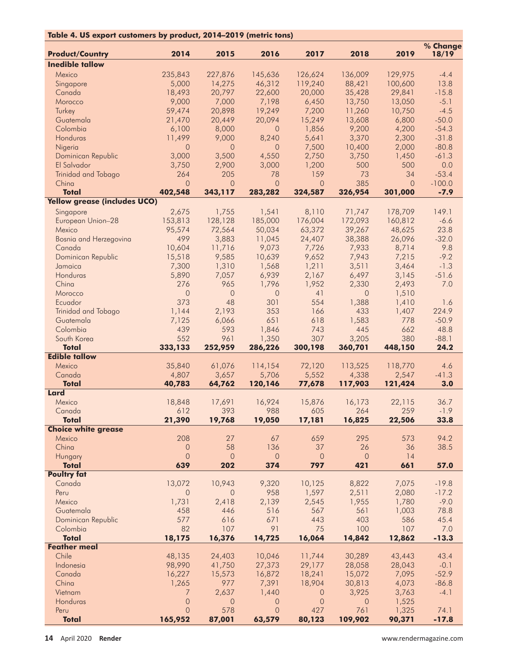| Table 4. US export customers by product, 2014-2019 (metric tons) |                     |                |                      |                    |                 |                |                   |
|------------------------------------------------------------------|---------------------|----------------|----------------------|--------------------|-----------------|----------------|-------------------|
| <b>Product/Country</b>                                           | 2014                | 2015           | 2016                 | 2017               | 2018            | 2019           | % Change<br>18/19 |
| <b>Inedible tallow</b>                                           |                     |                |                      |                    |                 |                |                   |
| Mexico                                                           | 235,843             | 227,876        | 145,636              | 126,624            | 136,009         | 129,975        | $-4.4$            |
| Singapore                                                        | 5,000               | 14,275         | 46,312               | 119,240            | 88,421          | 100,600        | 13.8              |
| Canada                                                           | 18,493              | 20,797         | 22,600               | 20,000             | 35,428          | 29,841         | $-15.8$           |
| Morocco                                                          | 9,000               | 7,000          | 7,198                | 6,450              | 13,750          | 13,050         | $-5.1$            |
| Turkey                                                           | 59,474              | 20,898         | 19,249               | 7,200              | 11,260          | 10,750         | $-4.5$            |
| Guatemala                                                        | 21,470              | 20,449         | 20,094               | 15,249             | 13,608          | 6,800          | $-50.0$           |
| Colombia                                                         | 6,100               | 8,000          | $\overline{0}$       | 1,856              | 9,200           | 4,200          | $-54.3$           |
| Honduras                                                         | 11,499              | 9,000          | 8,240                | 5,641              | 3,370           | 2,300          | $-31.8$           |
| Nigeria                                                          | $\Omega$            | $\overline{O}$ | $\circ$              | 7,500              | 10,400          | 2,000          | $-80.8$           |
| Dominican Republic                                               | 3,000               | 3,500          | 4,550                | 2,750              | 3,750           | 1,450          | $-61.3$           |
| El Salvador                                                      | 3,750<br>264        | 2,900<br>205   | 3,000<br>78          | 1,200<br>159       | 500<br>73       | 500<br>34      | 0.0<br>$-53.4$    |
| Trinidad and Tobago<br>China                                     | $\overline{O}$      | $\overline{O}$ | $\circ$              | $\circ$            | 385             | $\circ$        | $-100.0$          |
| <b>Total</b>                                                     | 402,548             | 343,117        | 283,282              | 324,587            | 326,954         | 301,000        | $-7.9$            |
| <b>Yellow grease (includes UCO)</b>                              |                     |                |                      |                    |                 |                |                   |
| Singapore                                                        | 2,675               | 1,755          | 1,541                | 8,110              | 71,747          | 178,709        | 149.1             |
| European Union-28                                                | 153,813             | 128,128        | 185,000              | 176,004            | 172,093         | 160,812        | $-6.6$            |
| Mexico                                                           | 95,574              | 72,564         | 50,034               | 63,372             | 39,267          | 48,625         | 23.8              |
| Bosnia and Herzegovina                                           | 499                 | 3,883          | 11,045               | 24,407             | 38,388          | 26,096         | $-32.0$           |
| Canada                                                           | 10,604              | 11,716         | 9,073                | 7,726              | 7,933           | 8,714          | 9.8               |
| Dominican Republic                                               | 15,518              | 9,585          | 10,639               | 9,652              | 7,943           | 7,215          | $-9.2$            |
| Jamaica                                                          | 7,300               | 1,310          | 1,568                | 1,211              | 3,511           | 3,464          | $-1.3$            |
| Honduras                                                         | 5,890               | 7,057          | 6,939                | 2,167              | 6,497           | 3,145          | $-51.6$           |
| China                                                            | 276                 | 965            | 1,796                | 1,952              | 2,330           | 2,493          | 7.0               |
| Morocco                                                          | $\circ$             | $\circ$        | $\circ$              | 41                 | $\overline{0}$  | 1,510          |                   |
| Ecuador                                                          | 373                 | 48             | 301                  | 554                | 1,388           | 1,410          | 1.6               |
| Trinidad and Tobago                                              | 1,144               | 2,193          | 353                  | 166                | 433             | 1,407          | 224.9             |
| Guatemala                                                        | 7,125               | 6,066          | 651                  | 618                | 1,583           | 778            | $-50.9$           |
| Colombia                                                         | 439                 | 593            | 1,846                | 743                | 445             | 662            | 48.8              |
| South Korea                                                      | 552                 | 961            | 1,350                | 307                | 3,205           | 380            | $-88.1$           |
| <b>Total</b>                                                     | 333,133             | 252,959        | 286,226              | 300,198            | 360,701         | 448,150        | 24.2              |
| <b>Edible tallow</b>                                             |                     |                |                      |                    |                 |                |                   |
| Mexico                                                           | 35,840              | 61,076         | 114,154              | 72,120             | 113,525         | 118,770        | 4.6               |
| Canada                                                           | 4,807               | 3,657          | 5,706                | 5,552              | 4,338           | 2,547          | $-41.3$           |
| <b>Total</b>                                                     | 40,783              | 64,762         | 120,146              | 77,678             | 117,903         | 121,424        | 3.0               |
| Lard                                                             |                     |                |                      |                    |                 |                |                   |
| Mexico                                                           | 18,848              | 17,691         | 16,924               | 15,876             | 16,173          | 22,115         | 36.7              |
| Canada<br><b>Total</b>                                           | 612<br>21,390       | 393<br>19,768  | 988<br>19,050        | 605<br>17,181      | 264<br>16,825   | 259            | $-1.9$<br>33.8    |
| <b>Choice white grease</b>                                       |                     |                |                      |                    |                 | 22,506         |                   |
| Mexico                                                           | 208                 | 27             | 67                   | 659                | 295             | 573            | 94.2              |
| China                                                            | $\mathsf{O}\xspace$ | 58             | 136                  | 37                 | 26              | 36             | 38.5              |
| Hungary                                                          | $\mathsf O$         | $\mathsf{O}$   | $\mathsf{O}$         | $\mathsf{O}$       | $\theta$        | 14             |                   |
| <b>Total</b>                                                     | 639                 | 202            | 374                  | 797                | 421             | 661            | 57.0              |
| <b>Poultry fat</b>                                               |                     |                |                      |                    |                 |                |                   |
| Canada                                                           | 13,072              | 10,943         | 9,320                | 10,125             | 8,822           | 7,075          | $-19.8$           |
| Peru                                                             | 0                   | $\circ$        | 958                  | 1,597              | 2,511           | 2,080          | $-17.2$           |
| Mexico                                                           | 1,731               | 2,418          | 2,139                | 2,545              | 1,955           | 1,780          | $-9.0$            |
| Guatemala                                                        | 458                 | 446            | 516                  | 567                | 561             | 1,003          | 78.8              |
| Dominican Republic                                               | 577                 | 616            | 671                  | 443                | 403             | 586            | 45.4              |
| Colombia                                                         | 82                  | 107            | 91                   | 75                 | 100             | 107            | 7.0               |
| <b>Total</b>                                                     | 18,175              | 16,376         | 14,725               | 16,064             | 14,842          | 12,862         | $-13.3$           |
| <b>Feather meal</b>                                              |                     |                |                      |                    |                 |                |                   |
| Chile                                                            | 48,135              | 24,403         | 10,046               | 11,744             | 30,289          | 43,443         | 43.4              |
| Indonesia                                                        | 98,990              | 41,750         | 27,373               | 29,177             | 28,058          | 28,043         | $-0.1$            |
| Canada                                                           | 16,227              | 15,573         | 16,872               | 18,241             | 15,072          | 7,095          | $-52.9$           |
| China                                                            | 1,265               | 977<br>2,637   | 7,391                | 18,904             | 30,813<br>3,925 | 4,073          | $-86.8$           |
| Vietnam<br>Honduras                                              | 7<br>$\circ$        | $\circ$        | 1,440<br>$\mathbf 0$ | $\circ$<br>$\circ$ | $\mathbf 0$     | 3,763<br>1,525 | $-4.1$            |
| Peru                                                             | $\overline{O}$      | 578            | $\overline{0}$       | 427                | 761             | 1,325          | 74.1              |
| <b>Total</b>                                                     | 165,952             | 87,001         | 63,579               | 80,123             | 109,902         | 90,371         | $-17.8$           |